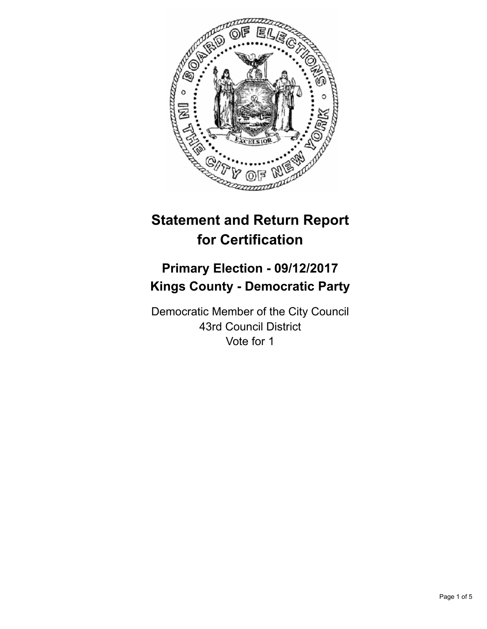

# **Statement and Return Report for Certification**

## **Primary Election - 09/12/2017 Kings County - Democratic Party**

Democratic Member of the City Council 43rd Council District Vote for 1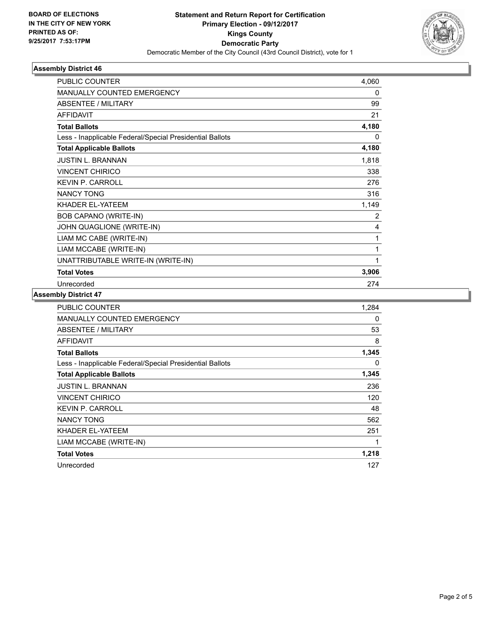

### **Assembly District 46**

| <b>PUBLIC COUNTER</b>                                    | 4,060 |
|----------------------------------------------------------|-------|
| MANUALLY COUNTED EMERGENCY                               | 0     |
| <b>ABSENTEE / MILITARY</b>                               | 99    |
| <b>AFFIDAVIT</b>                                         | 21    |
| <b>Total Ballots</b>                                     | 4,180 |
| Less - Inapplicable Federal/Special Presidential Ballots | 0     |
| <b>Total Applicable Ballots</b>                          | 4,180 |
| <b>JUSTIN L. BRANNAN</b>                                 | 1,818 |
| <b>VINCENT CHIRICO</b>                                   | 338   |
| <b>KEVIN P. CARROLL</b>                                  | 276   |
| <b>NANCY TONG</b>                                        | 316   |
| KHADER EL-YATEEM                                         | 1,149 |
| BOB CAPANO (WRITE-IN)                                    | 2     |
| JOHN QUAGLIONE (WRITE-IN)                                | 4     |
| LIAM MC CABE (WRITE-IN)                                  | 1     |
| LIAM MCCABE (WRITE-IN)                                   | 1     |
| UNATTRIBUTABLE WRITE-IN (WRITE-IN)                       | 1     |
| <b>Total Votes</b>                                       | 3,906 |
| Unrecorded                                               | 274   |

### **Assembly District 47**

| <b>PUBLIC COUNTER</b>                                    | 1,284 |
|----------------------------------------------------------|-------|
| <b>MANUALLY COUNTED EMERGENCY</b>                        | 0     |
| ABSENTEE / MILITARY                                      | 53    |
| <b>AFFIDAVIT</b>                                         | 8     |
| <b>Total Ballots</b>                                     | 1,345 |
| Less - Inapplicable Federal/Special Presidential Ballots | 0     |
| <b>Total Applicable Ballots</b>                          | 1,345 |
| <b>JUSTIN L. BRANNAN</b>                                 | 236   |
| <b>VINCENT CHIRICO</b>                                   | 120   |
| <b>KEVIN P. CARROLL</b>                                  | 48    |
| <b>NANCY TONG</b>                                        | 562   |
| KHADER EL-YATEEM                                         | 251   |
| LIAM MCCABE (WRITE-IN)                                   | 1     |
| <b>Total Votes</b>                                       | 1,218 |
| Unrecorded                                               | 127   |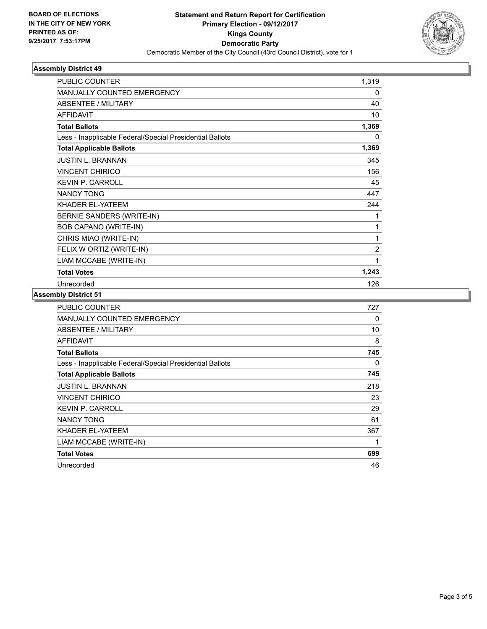

### **Assembly District 49**

| <b>PUBLIC COUNTER</b>                                    | 1,319          |
|----------------------------------------------------------|----------------|
| <b>MANUALLY COUNTED EMERGENCY</b>                        | 0              |
| <b>ABSENTEE / MILITARY</b>                               | 40             |
| <b>AFFIDAVIT</b>                                         | 10             |
| <b>Total Ballots</b>                                     | 1,369          |
| Less - Inapplicable Federal/Special Presidential Ballots | 0              |
| <b>Total Applicable Ballots</b>                          | 1,369          |
| <b>JUSTIN L. BRANNAN</b>                                 | 345            |
| <b>VINCENT CHIRICO</b>                                   | 156            |
| <b>KEVIN P. CARROLL</b>                                  | 45             |
| <b>NANCY TONG</b>                                        | 447            |
| KHADER EL-YATEEM                                         | 244            |
| BERNIE SANDERS (WRITE-IN)                                | 1              |
| BOB CAPANO (WRITE-IN)                                    | 1              |
| CHRIS MIAO (WRITE-IN)                                    | 1              |
| FELIX W ORTIZ (WRITE-IN)                                 | $\overline{2}$ |
| LIAM MCCABE (WRITE-IN)                                   | 1              |
| <b>Total Votes</b>                                       | 1,243          |
| Unrecorded                                               | 126            |

### **Assembly District 51**

| <b>PUBLIC COUNTER</b>                                    | 727 |
|----------------------------------------------------------|-----|
| <b>MANUALLY COUNTED EMERGENCY</b>                        | 0   |
| ABSENTEE / MILITARY                                      | 10  |
| <b>AFFIDAVIT</b>                                         | 8   |
| <b>Total Ballots</b>                                     | 745 |
| Less - Inapplicable Federal/Special Presidential Ballots | 0   |
| <b>Total Applicable Ballots</b>                          | 745 |
| <b>JUSTIN L. BRANNAN</b>                                 | 218 |
| <b>VINCENT CHIRICO</b>                                   | 23  |
| <b>KEVIN P. CARROLL</b>                                  | 29  |
| <b>NANCY TONG</b>                                        | 61  |
| KHADER EL-YATEEM                                         | 367 |
| LIAM MCCABE (WRITE-IN)                                   | 1   |
| <b>Total Votes</b>                                       | 699 |
| Unrecorded                                               | 46  |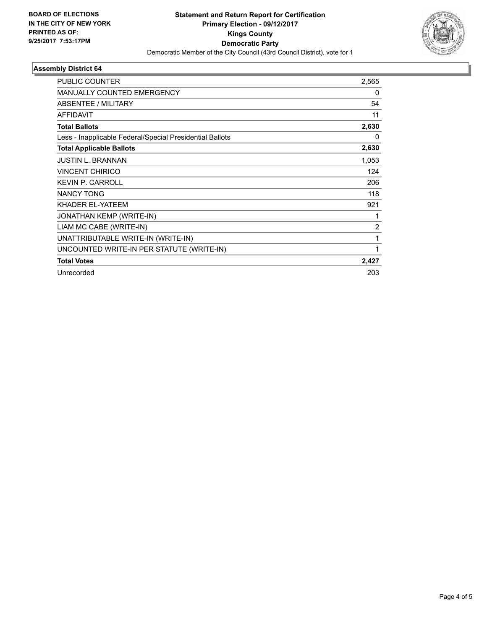

### **Assembly District 64**

| <b>PUBLIC COUNTER</b>                                    | 2,565          |
|----------------------------------------------------------|----------------|
| <b>MANUALLY COUNTED EMERGENCY</b>                        | 0              |
| ABSENTEE / MILITARY                                      | 54             |
| <b>AFFIDAVIT</b>                                         | 11             |
| <b>Total Ballots</b>                                     | 2,630          |
| Less - Inapplicable Federal/Special Presidential Ballots | 0              |
| <b>Total Applicable Ballots</b>                          | 2,630          |
| <b>JUSTIN L. BRANNAN</b>                                 | 1,053          |
| <b>VINCENT CHIRICO</b>                                   | 124            |
| <b>KEVIN P. CARROLL</b>                                  | 206            |
| <b>NANCY TONG</b>                                        | 118            |
| KHADER EL-YATEEM                                         | 921            |
| JONATHAN KEMP (WRITE-IN)                                 |                |
| LIAM MC CABE (WRITE-IN)                                  | $\overline{2}$ |
| UNATTRIBUTABLE WRITE-IN (WRITE-IN)                       | 1              |
| UNCOUNTED WRITE-IN PER STATUTE (WRITE-IN)                | 1              |
| <b>Total Votes</b>                                       | 2,427          |
| Unrecorded                                               | 203            |